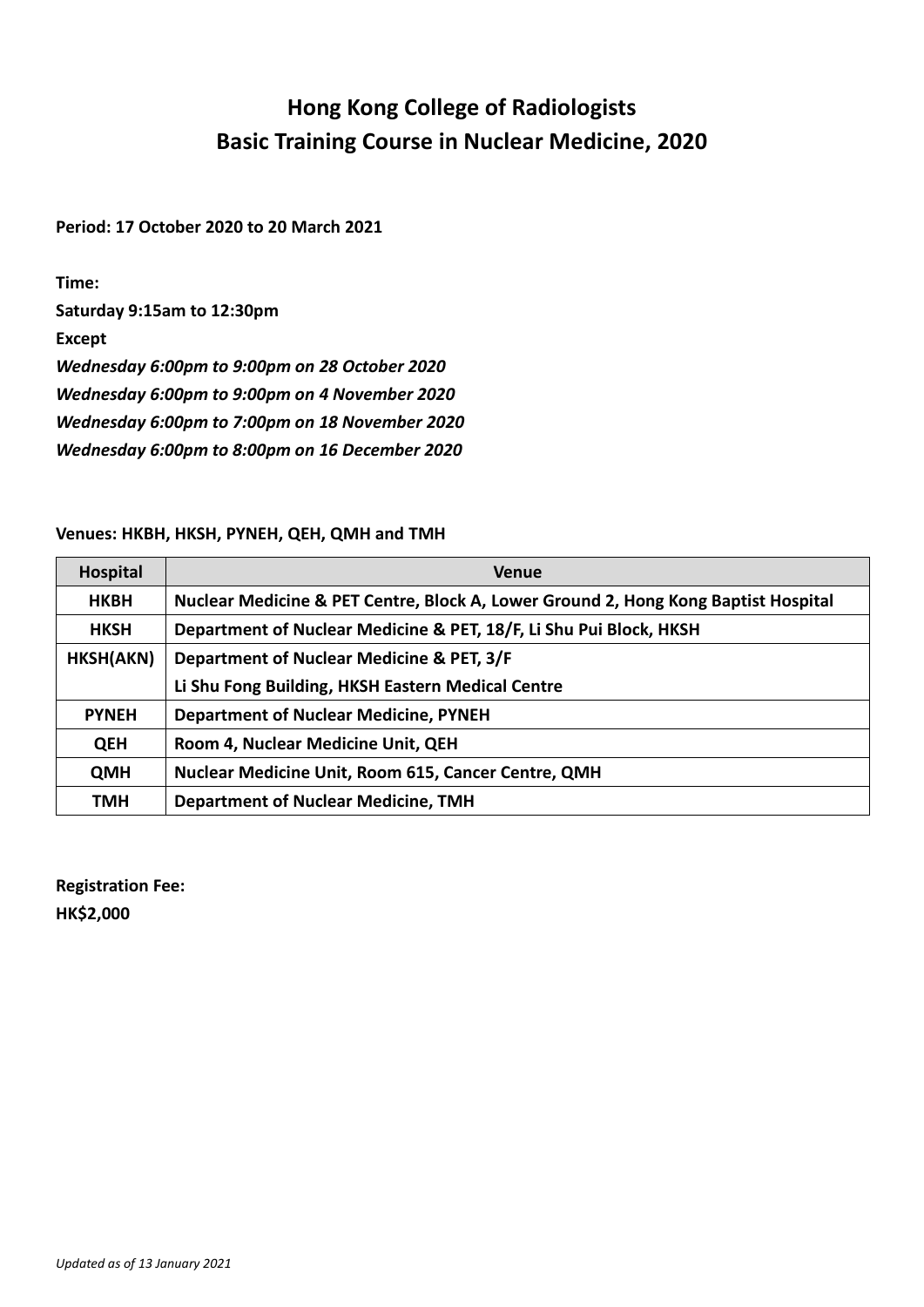## **Hong Kong College of Radiologists Basic Training Course in Nuclear Medicine, 2020**

**Period: 17 October 2020 to 20 March 2021**

**Time:** 

**Saturday 9:15am to 12:30pm**

**Except**

*Wednesday 6:00pm to 9:00pm on 28 October 2020*

*Wednesday 6:00pm to 9:00pm on 4 November 2020*

*Wednesday 6:00pm to 7:00pm on 18 November 2020*

*Wednesday 6:00pm to 8:00pm on 16 December 2020*

## **Venues: HKBH, HKSH, PYNEH, QEH, QMH and TMH**

| Hospital     | <b>Venue</b>                                                                       |  |  |  |
|--------------|------------------------------------------------------------------------------------|--|--|--|
| <b>HKBH</b>  | Nuclear Medicine & PET Centre, Block A, Lower Ground 2, Hong Kong Baptist Hospital |  |  |  |
| <b>HKSH</b>  | Department of Nuclear Medicine & PET, 18/F, Li Shu Pui Block, HKSH                 |  |  |  |
| HKSH(AKN)    | Department of Nuclear Medicine & PET, 3/F                                          |  |  |  |
|              | Li Shu Fong Building, HKSH Eastern Medical Centre                                  |  |  |  |
| <b>PYNEH</b> | <b>Department of Nuclear Medicine, PYNEH</b>                                       |  |  |  |
| <b>QEH</b>   | Room 4, Nuclear Medicine Unit, QEH                                                 |  |  |  |
| <b>QMH</b>   | <b>Nuclear Medicine Unit, Room 615, Cancer Centre, QMH</b>                         |  |  |  |
| TMH          | <b>Department of Nuclear Medicine, TMH</b>                                         |  |  |  |

**Registration Fee: HK\$2,000**